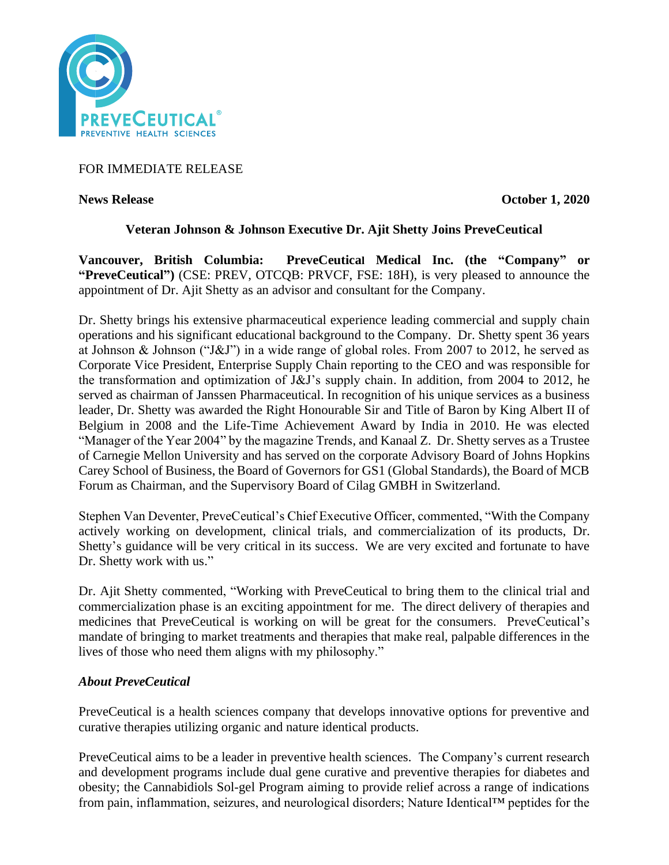

# FOR IMMEDIATE RELEASE

**News Release Contract Contract Contract Contract Contract Contract Contract Contract Contract Contract Contract Contract Contract Contract Contract Contract Contract Contract Contract Contract Contract Contract Contract C** 

# **Veteran Johnson & Johnson Executive Dr. Ajit Shetty Joins PreveCeutical**

**Vancouver, British Columbia: PreveCeutical Medical Inc. (the "Company" or "PreveCeutical")** (CSE: PREV, OTCQB: PRVCF, FSE: 18H), is very pleased to announce the appointment of Dr. Ajit Shetty as an advisor and consultant for the Company.

Dr. Shetty brings his extensive pharmaceutical experience leading commercial and supply chain operations and his significant educational background to the Company. Dr. Shetty spent 36 years at Johnson & Johnson ("J&J") in a wide range of global roles. From 2007 to 2012, he served as Corporate Vice President, Enterprise Supply Chain reporting to the CEO and was responsible for the transformation and optimization of J&J's supply chain. In addition, from 2004 to 2012, he served as chairman of Janssen Pharmaceutical. In recognition of his unique services as a business leader, Dr. Shetty was awarded the Right Honourable Sir and Title of Baron by King Albert II of Belgium in 2008 and the Life-Time Achievement Award by India in 2010. He was elected "Manager of the Year 2004" by the magazine Trends, and Kanaal Z. Dr. Shetty serves as a Trustee of Carnegie Mellon University and has served on the corporate Advisory Board of Johns Hopkins Carey School of Business, the Board of Governors for GS1 (Global Standards), the Board of MCB Forum as Chairman, and the Supervisory Board of Cilag GMBH in Switzerland.

Stephen Van Deventer, PreveCeutical's Chief Executive Officer, commented, "With the Company actively working on development, clinical trials, and commercialization of its products, Dr. Shetty's guidance will be very critical in its success. We are very excited and fortunate to have Dr. Shetty work with us."

Dr. Ajit Shetty commented, "Working with PreveCeutical to bring them to the clinical trial and commercialization phase is an exciting appointment for me. The direct delivery of therapies and medicines that PreveCeutical is working on will be great for the consumers. PreveCeutical's mandate of bringing to market treatments and therapies that make real, palpable differences in the lives of those who need them aligns with my philosophy."

### *About PreveCeutical*

PreveCeutical is a health sciences company that develops innovative options for preventive and curative therapies utilizing organic and nature identical products.

PreveCeutical aims to be a leader in preventive health sciences. The Company's current research and development programs include dual gene curative and preventive therapies for diabetes and obesity; the Cannabidiols Sol-gel Program aiming to provide relief across a range of indications from pain, inflammation, seizures, and neurological disorders; Nature Identical™ peptides for the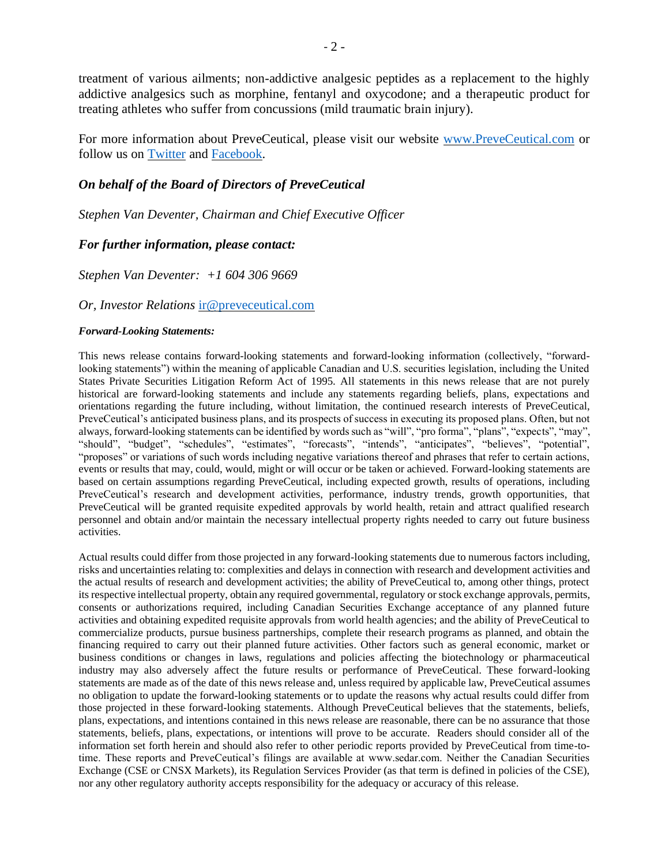treatment of various ailments; non-addictive analgesic peptides as a replacement to the highly addictive analgesics such as morphine, fentanyl and oxycodone; and a therapeutic product for treating athletes who suffer from concussions (mild traumatic brain injury).

For more information about PreveCeutical, please visit our website [www.PreveCeutical.com](http://www.preveceutical.com/) or follow us on [Twitter](http://twitter.com/PreveCeuticals) and [Facebook.](http://www.facebook.com/PreveCeutical)

### *On behalf of the Board of Directors of PreveCeutical*

*Stephen Van Deventer, Chairman and Chief Executive Officer*

#### *For further information, please contact:*

*Stephen Van Deventer: +1 604 306 9669*

#### *Or, Investor Relations* [ir@preveceutical.com](mailto:ir@preveceutical.com)

#### *Forward-Looking Statements:*

This news release contains forward-looking statements and forward-looking information (collectively, "forwardlooking statements") within the meaning of applicable Canadian and U.S. securities legislation, including the United States Private Securities Litigation Reform Act of 1995. All statements in this news release that are not purely historical are forward-looking statements and include any statements regarding beliefs, plans, expectations and orientations regarding the future including, without limitation, the continued research interests of PreveCeutical, PreveCeutical's anticipated business plans, and its prospects of success in executing its proposed plans. Often, but not always, forward-looking statements can be identified by words such as "will", "pro forma", "plans", "expects", "may", "should", "budget", "schedules", "estimates", "forecasts", "intends", "anticipates", "believes", "potential", "proposes" or variations of such words including negative variations thereof and phrases that refer to certain actions, events or results that may, could, would, might or will occur or be taken or achieved. Forward-looking statements are based on certain assumptions regarding PreveCeutical, including expected growth, results of operations, including PreveCeutical's research and development activities, performance, industry trends, growth opportunities, that PreveCeutical will be granted requisite expedited approvals by world health, retain and attract qualified research personnel and obtain and/or maintain the necessary intellectual property rights needed to carry out future business activities.

Actual results could differ from those projected in any forward-looking statements due to numerous factors including, risks and uncertainties relating to: complexities and delays in connection with research and development activities and the actual results of research and development activities; the ability of PreveCeutical to, among other things, protect its respective intellectual property, obtain any required governmental, regulatory or stock exchange approvals, permits, consents or authorizations required, including Canadian Securities Exchange acceptance of any planned future activities and obtaining expedited requisite approvals from world health agencies; and the ability of PreveCeutical to commercialize products, pursue business partnerships, complete their research programs as planned, and obtain the financing required to carry out their planned future activities. Other factors such as general economic, market or business conditions or changes in laws, regulations and policies affecting the biotechnology or pharmaceutical industry may also adversely affect the future results or performance of PreveCeutical. These forward-looking statements are made as of the date of this news release and, unless required by applicable law, PreveCeutical assumes no obligation to update the forward-looking statements or to update the reasons why actual results could differ from those projected in these forward-looking statements. Although PreveCeutical believes that the statements, beliefs, plans, expectations, and intentions contained in this news release are reasonable, there can be no assurance that those statements, beliefs, plans, expectations, or intentions will prove to be accurate. Readers should consider all of the information set forth herein and should also refer to other periodic reports provided by PreveCeutical from time-totime. These reports and PreveCeutical's filings are available at www.sedar.com. Neither the Canadian Securities Exchange (CSE or CNSX Markets), its Regulation Services Provider (as that term is defined in policies of the CSE), nor any other regulatory authority accepts responsibility for the adequacy or accuracy of this release.